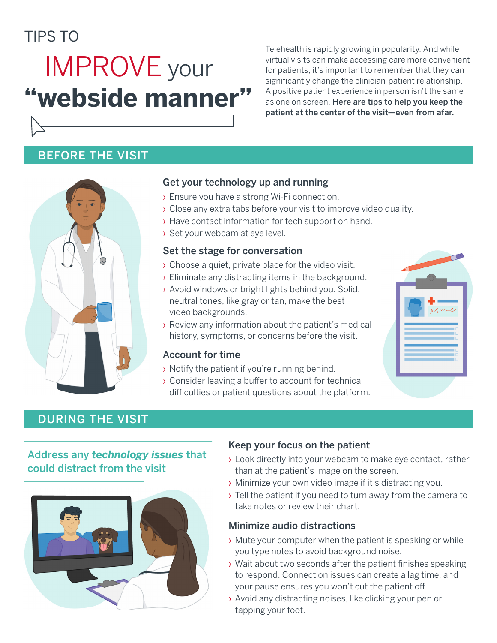# TIPS TO

# **"webside manner"** IMPROVE your

Telehealth is rapidly growing in popularity. And while virtual visits can make accessing care more convenient for patients, it's important to remember that they can significantly change the clinician-patient relationship. A positive patient experience in person isn't the same as one on screen. Here are tips to help you keep the patient at the center of the visit—even from afar.

# BEFORE THE VISIT



# Get your technology up and running

- › Ensure you have a strong Wi-Fi connection.
- › Close any extra tabs before your visit to improve video quality.
- › Have contact information for tech support on hand.
- › Set your webcam at eye level.

## Set the stage for conversation

- › Choose a quiet, private place for the video visit.
- › Eliminate any distracting items in the background.
- › Avoid windows or bright lights behind you. Solid, neutral tones, like gray or tan, make the best video backgrounds.
- › Review any information about the patient's medical history, symptoms, or concerns before the visit.

## Account for time

- › Notify the patient if you're running behind.
- › Consider leaving a buffer to account for technical difficulties or patient questions about the platform.



# DURING THE VISIT

# Address any *technology issues* that could distract from the visit



# Keep your focus on the patient

- › Look directly into your webcam to make eye contact, rather than at the patient's image on the screen.
- › Minimize your own video image if it's distracting you.
- › Tell the patient if you need to turn away from the camera to take notes or review their chart.

#### Minimize audio distractions

- › Mute your computer when the patient is speaking or while you type notes to avoid background noise.
- › Wait about two seconds after the patient finishes speaking to respond. Connection issues can create a lag time, and your pause ensures you won't cut the patient off.
- › Avoid any distracting noises, like clicking your pen or tapping your foot.